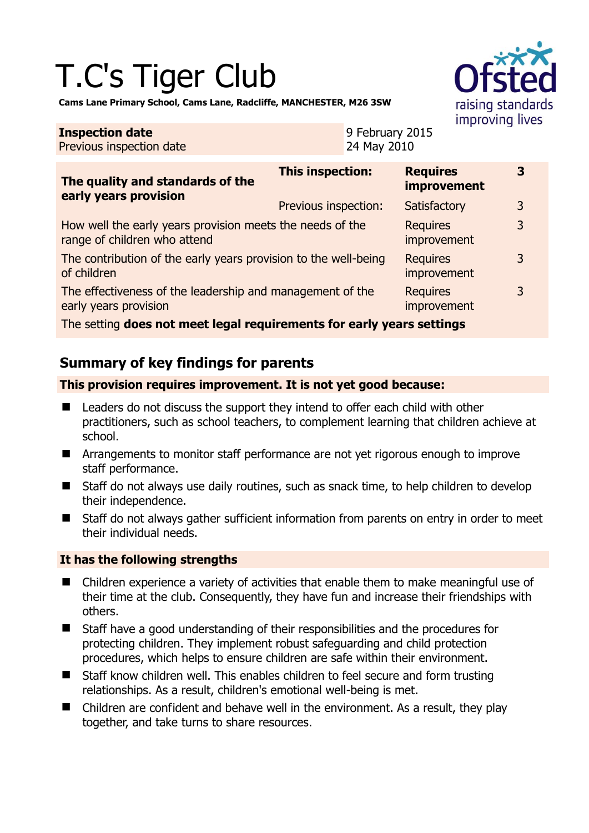# T.C's Tiger Club



**Cams Lane Primary School, Cams Lane, Radcliffe, MANCHESTER, M26 3SW** 

#### **Inspection date** Previous inspection date

9 February 2015 24 May 2010

| The quality and standards of the<br>early years provision                                 | <b>This inspection:</b> | <b>Requires</b><br>improvement | 3 |
|-------------------------------------------------------------------------------------------|-------------------------|--------------------------------|---|
|                                                                                           | Previous inspection:    | Satisfactory                   | 3 |
| How well the early years provision meets the needs of the<br>range of children who attend |                         | <b>Requires</b><br>improvement | 3 |
| The contribution of the early years provision to the well-being<br>of children            |                         | <b>Requires</b><br>improvement | 3 |
| The effectiveness of the leadership and management of the<br>early years provision        |                         | <b>Requires</b><br>improvement | 3 |
| 그는 아이에 이 아이들은 아이들이 어려운 것을 하고 있다. 이 사람들은 아이들은 아이들은 아이들의 사람들을 하고 있다.                        |                         |                                |   |

The setting **does not meet legal requirements for early years settings**

# **Summary of key findings for parents**

### **This provision requires improvement. It is not yet good because:**

- Leaders do not discuss the support they intend to offer each child with other practitioners, such as school teachers, to complement learning that children achieve at school.
- Arrangements to monitor staff performance are not yet rigorous enough to improve staff performance.
- Staff do not always use daily routines, such as snack time, to help children to develop their independence.
- Staff do not always gather sufficient information from parents on entry in order to meet their individual needs.

## **It has the following strengths**

- Children experience a variety of activities that enable them to make meaningful use of their time at the club. Consequently, they have fun and increase their friendships with others.
- Staff have a good understanding of their responsibilities and the procedures for protecting children. They implement robust safeguarding and child protection procedures, which helps to ensure children are safe within their environment.
- Staff know children well. This enables children to feel secure and form trusting relationships. As a result, children's emotional well-being is met.
- Children are confident and behave well in the environment. As a result, they play together, and take turns to share resources.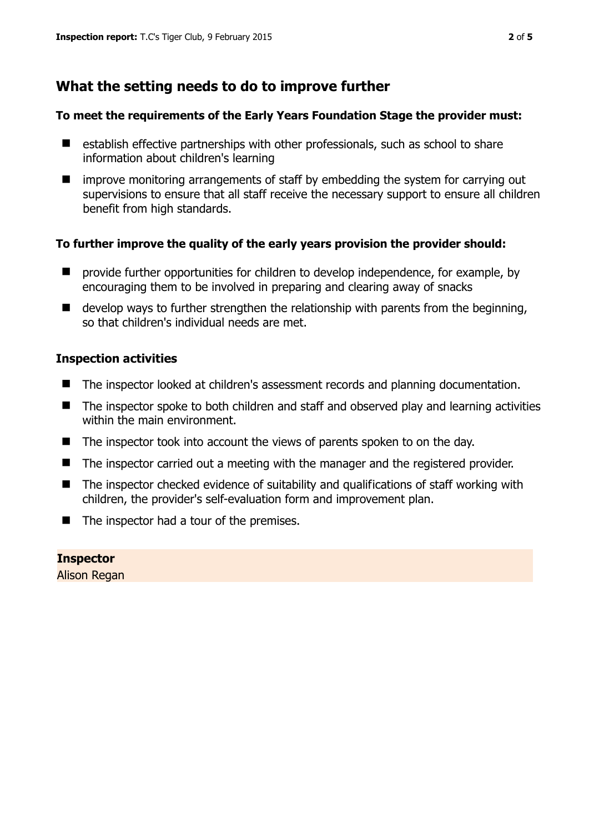# **What the setting needs to do to improve further**

#### **To meet the requirements of the Early Years Foundation Stage the provider must:**

- $\blacksquare$  establish effective partnerships with other professionals, such as school to share information about children's learning
- improve monitoring arrangements of staff by embedding the system for carrying out supervisions to ensure that all staff receive the necessary support to ensure all children benefit from high standards.

#### **To further improve the quality of the early years provision the provider should:**

- **P** provide further opportunities for children to develop independence, for example, by encouraging them to be involved in preparing and clearing away of snacks
- $\blacksquare$  develop ways to further strengthen the relationship with parents from the beginning, so that children's individual needs are met.

## **Inspection activities**

- The inspector looked at children's assessment records and planning documentation.
- The inspector spoke to both children and staff and observed play and learning activities within the main environment.
- The inspector took into account the views of parents spoken to on the day.
- The inspector carried out a meeting with the manager and the registered provider.
- The inspector checked evidence of suitability and qualifications of staff working with children, the provider's self-evaluation form and improvement plan.
- $\blacksquare$  The inspector had a tour of the premises.

# **Inspector**

Alison Regan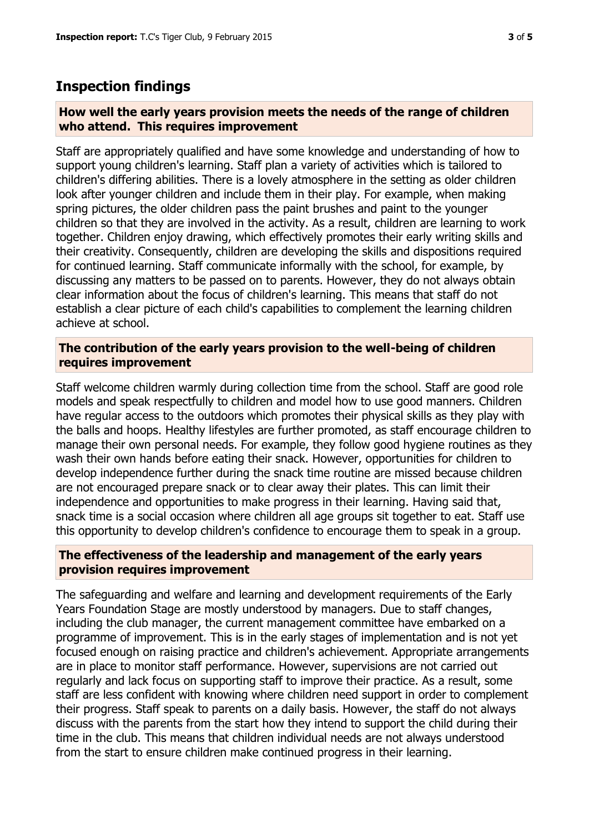## **Inspection findings**

#### **How well the early years provision meets the needs of the range of children who attend. This requires improvement**

Staff are appropriately qualified and have some knowledge and understanding of how to support young children's learning. Staff plan a variety of activities which is tailored to children's differing abilities. There is a lovely atmosphere in the setting as older children look after younger children and include them in their play. For example, when making spring pictures, the older children pass the paint brushes and paint to the younger children so that they are involved in the activity. As a result, children are learning to work together. Children enjoy drawing, which effectively promotes their early writing skills and their creativity. Consequently, children are developing the skills and dispositions required for continued learning. Staff communicate informally with the school, for example, by discussing any matters to be passed on to parents. However, they do not always obtain clear information about the focus of children's learning. This means that staff do not establish a clear picture of each child's capabilities to complement the learning children achieve at school.

### **The contribution of the early years provision to the well-being of children requires improvement**

Staff welcome children warmly during collection time from the school. Staff are good role models and speak respectfully to children and model how to use good manners. Children have regular access to the outdoors which promotes their physical skills as they play with the balls and hoops. Healthy lifestyles are further promoted, as staff encourage children to manage their own personal needs. For example, they follow good hygiene routines as they wash their own hands before eating their snack. However, opportunities for children to develop independence further during the snack time routine are missed because children are not encouraged prepare snack or to clear away their plates. This can limit their independence and opportunities to make progress in their learning. Having said that, snack time is a social occasion where children all age groups sit together to eat. Staff use this opportunity to develop children's confidence to encourage them to speak in a group.

#### **The effectiveness of the leadership and management of the early years provision requires improvement**

The safeguarding and welfare and learning and development requirements of the Early Years Foundation Stage are mostly understood by managers. Due to staff changes, including the club manager, the current management committee have embarked on a programme of improvement. This is in the early stages of implementation and is not yet focused enough on raising practice and children's achievement. Appropriate arrangements are in place to monitor staff performance. However, supervisions are not carried out regularly and lack focus on supporting staff to improve their practice. As a result, some staff are less confident with knowing where children need support in order to complement their progress. Staff speak to parents on a daily basis. However, the staff do not always discuss with the parents from the start how they intend to support the child during their time in the club. This means that children individual needs are not always understood from the start to ensure children make continued progress in their learning.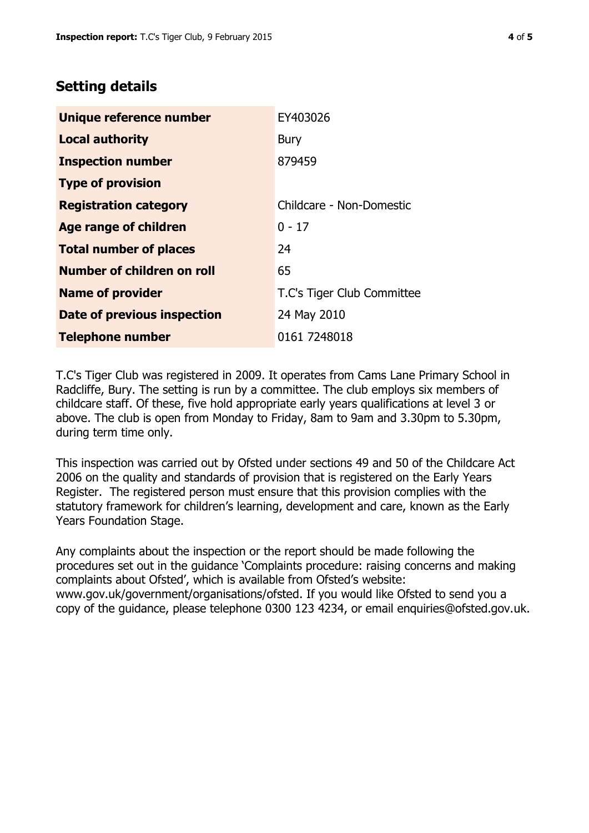# **Setting details**

| Unique reference number           | EY403026                   |  |
|-----------------------------------|----------------------------|--|
| <b>Local authority</b>            | <b>Bury</b>                |  |
| <b>Inspection number</b>          | 879459                     |  |
| <b>Type of provision</b>          |                            |  |
| <b>Registration category</b>      | Childcare - Non-Domestic   |  |
| <b>Age range of children</b>      | $0 - 17$                   |  |
| <b>Total number of places</b>     | 24                         |  |
| <b>Number of children on roll</b> | 65                         |  |
| <b>Name of provider</b>           | T.C's Tiger Club Committee |  |
| Date of previous inspection       | 24 May 2010                |  |
| <b>Telephone number</b>           | 0161 7248018               |  |

T.C's Tiger Club was registered in 2009. It operates from Cams Lane Primary School in Radcliffe, Bury. The setting is run by a committee. The club employs six members of childcare staff. Of these, five hold appropriate early years qualifications at level 3 or above. The club is open from Monday to Friday, 8am to 9am and 3.30pm to 5.30pm, during term time only.

This inspection was carried out by Ofsted under sections 49 and 50 of the Childcare Act 2006 on the quality and standards of provision that is registered on the Early Years Register. The registered person must ensure that this provision complies with the statutory framework for children's learning, development and care, known as the Early Years Foundation Stage.

Any complaints about the inspection or the report should be made following the procedures set out in the guidance 'Complaints procedure: raising concerns and making complaints about Ofsted', which is available from Ofsted's website: www.gov.uk/government/organisations/ofsted. If you would like Ofsted to send you a copy of the guidance, please telephone 0300 123 4234, or email enquiries@ofsted.gov.uk.